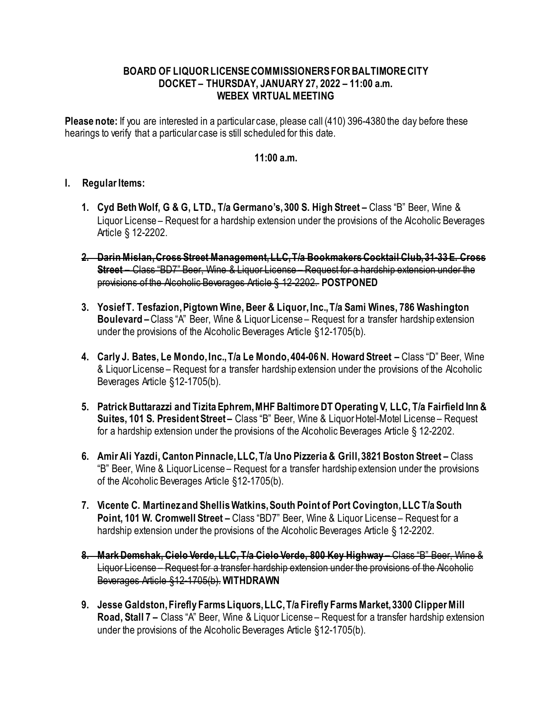## **BOARD OF LIQUOR LICENSE COMMISSIONERS FOR BALTIMORE CITY DOCKET – THURSDAY, JANUARY 27, 2022 – 11:00 a.m. WEBEX VIRTUAL MEETING**

**Please note:** If you are interested in a particular case, please call (410) 396-4380 the day before these hearings to verify that a particular case is still scheduled for this date.

## **11:00 a.m.**

## **I. Regular Items:**

- **1. Cyd Beth Wolf, G & G, LTD., T/a Germano's, 300 S. High Street –** Class "B" Beer, Wine & Liquor License – Request for a hardship extension under the provisions of the Alcoholic Beverages Article § 12-2202.
- **2. Darin Mislan, Cross Street Management, LLC, T/a Bookmakers Cocktail Club, 31-33 E. Cross Street –** Class "BD7" Beer, Wine & Liquor License – Request for a hardship extension under the provisions of the Alcoholic Beverages Article § 12-2202. **POSTPONED**
- **3. Yosief T. Tesfazion, Pigtown Wine, Beer & Liquor, Inc., T/a Sami Wines, 786 Washington Boulevard –**Class "A" Beer, Wine & Liquor License – Request for a transfer hardship extension under the provisions of the Alcoholic Beverages Article §12-1705(b).
- **4. Carly J. Bates, Le Mondo, Inc., T/a Le Mondo, 404-06 N. Howard Street –** Class "D" Beer, Wine & Liquor License – Request for a transfer hardship extension under the provisions of the Alcoholic Beverages Article §12-1705(b).
- **5. Patrick Buttarazzi and Tizita Ephrem, MHF Baltimore DT Operating V, LLC, T/a Fairfield Inn & Suites, 101 S. President Street –** Class "B" Beer, Wine & Liquor Hotel-Motel License – Request for a hardship extension under the provisions of the Alcoholic Beverages Article § 12-2202.
- **6. Amir Ali Yazdi, Canton Pinnacle, LLC, T/a Uno Pizzeria & Grill, 3821 Boston Street –** Class "B" Beer, Wine & Liquor License – Request for a transfer hardship extension under the provisions of the Alcoholic Beverages Article §12-1705(b).
- **7. Vicente C. Martinez and Shellis Watkins, South Point of Port Covington, LLC T/a South Point, 101 W. Cromwell Street –** Class "BD7" Beer, Wine & Liquor License – Request for a hardship extension under the provisions of the Alcoholic Beverages Article § 12-2202.
- **8. Mark Demshak, Cielo Verde, LLC, T/a Cielo Verde, 800 Key Highway –** Class "B" Beer, Wine & Liquor License – Request for a transfer hardship extension under the provisions of the Alcoholic Beverages Article §12-1705(b). **WITHDRAWN**
- **9. Jesse Galdston, Firefly Farms Liquors, LLC, T/a Firefly Farms Market, 3300 Clipper Mill Road, Stall 7 –** Class "A" Beer, Wine & Liquor License – Request for a transfer hardship extension under the provisions of the Alcoholic Beverages Article §12-1705(b).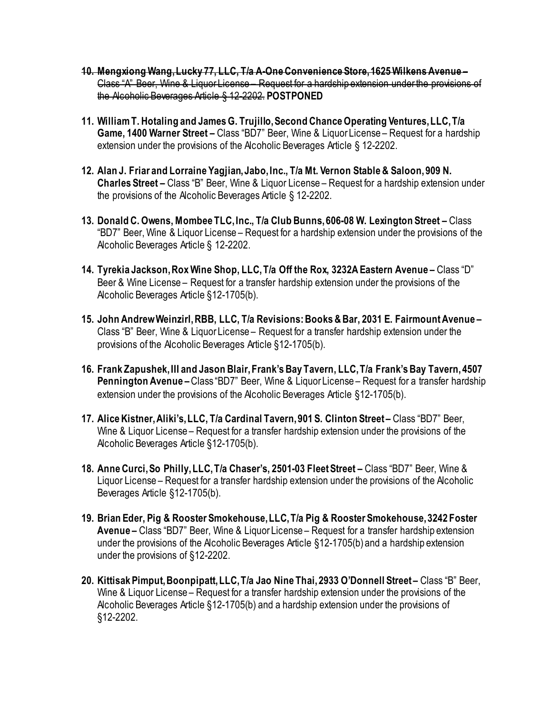- **10. Mengxiong Wang, Lucky 77, LLC, T/a A-One Convenience Store, 1625 Wilkens Avenue –** Class "A" Beer, Wine & Liquor License – Request for a hardship extension under the provisions of the Alcoholic Beverages Article § 12-2202. **POSTPONED**
- **11. William T. Hotaling and JamesG. Trujillo, Second Chance Operating Ventures, LLC, T/a Game, 1400 Warner Street –** Class "BD7" Beer, Wine & Liquor License – Request for a hardship extension under the provisions of the Alcoholic Beverages Article § 12-2202.
- **12. Alan J. Friar and Lorraine Yagjian, Jabo, Inc., T/a Mt. Vernon Stable & Saloon, 909 N. Charles Street –** Class "B" Beer, Wine & Liquor License – Request for a hardship extension under the provisions of the Alcoholic Beverages Article § 12-2202.
- **13. Donald C. Owens, Mombee TLC, Inc., T/a Club Bunns, 606-08 W. Lexington Street –** Class "BD7" Beer, Wine & Liquor License – Request for a hardship extension under the provisions of the Alcoholic Beverages Article § 12-2202.
- **14. Tyrekia Jackson, Rox Wine Shop, LLC, T/a Off the Rox, 3232A Eastern Avenue –** Class "D" Beer & Wine License – Request for a transfer hardship extension under the provisions of the Alcoholic Beverages Article §12-1705(b).
- **15. John Andrew Weinzirl, RBB, LLC, T/a Revisions: Books & Bar, 2031 E. Fairmount Avenue –** Class "B" Beer, Wine & Liquor License – Request for a transfer hardship extension under the provisions of the Alcoholic Beverages Article §12-1705(b).
- **16. Frank Zapushek, III and Jason Blair, Frank's Bay Tavern, LLC, T/a Frank's Bay Tavern, 4507 Pennington Avenue –**Class "BD7" Beer, Wine & Liquor License – Request for a transfer hardship extension under the provisions of the Alcoholic Beverages Article §12-1705(b).
- **17. Alice Kistner, Aliki's, LLC, T/a Cardinal Tavern, 901 S. Clinton Street –** Class "BD7" Beer, Wine & Liquor License – Request for a transfer hardship extension under the provisions of the Alcoholic Beverages Article §12-1705(b).
- **18. Anne Curci, So Philly, LLC, T/a Chaser's, 2501-03 Fleet Street –** Class "BD7" Beer, Wine & Liquor License – Request for a transfer hardship extension under the provisions of the Alcoholic Beverages Article §12-1705(b).
- **19. Brian Eder, Pig & Rooster Smokehouse, LLC, T/a Pig & Rooster Smokehouse, 3242 Foster Avenue –** Class "BD7" Beer, Wine & Liquor License – Request for a transfer hardship extension under the provisions of the Alcoholic Beverages Article §12-1705(b) and a hardship extension under the provisions of §12-2202.
- **20. Kittisak Pimput, Boonpipatt, LLC, T/a Jao Nine Thai, 2933 O'Donnell Street –** Class "B" Beer, Wine & Liquor License – Request for a transfer hardship extension under the provisions of the Alcoholic Beverages Article §12-1705(b) and a hardship extension under the provisions of §12-2202.